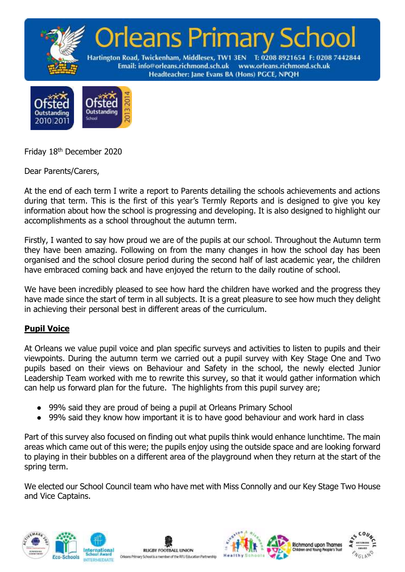



Friday 18th December 2020

Dear Parents/Carers,

At the end of each term I write a report to Parents detailing the schools achievements and actions during that term. This is the first of this year's Termly Reports and is designed to give you key information about how the school is progressing and developing. It is also designed to highlight our accomplishments as a school throughout the autumn term.

Firstly, I wanted to say how proud we are of the pupils at our school. Throughout the Autumn term they have been amazing. Following on from the many changes in how the school day has been organised and the school closure period during the second half of last academic year, the children have embraced coming back and have enjoyed the return to the daily routine of school.

We have been incredibly pleased to see how hard the children have worked and the progress they have made since the start of term in all subjects. It is a great pleasure to see how much they delight in achieving their personal best in different areas of the curriculum.

### **Pupil Voice**

At Orleans we value pupil voice and plan specific surveys and activities to listen to pupils and their viewpoints. During the autumn term we carried out a pupil survey with Key Stage One and Two pupils based on their views on Behaviour and Safety in the school, the newly elected Junior Leadership Team worked with me to rewrite this survey, so that it would gather information which can help us forward plan for the future. The highlights from this pupil survey are;

- 99% said they are proud of being a pupil at Orleans Primary School
- 99% said they know how important it is to have good behaviour and work hard in class

Part of this survey also focused on finding out what pupils think would enhance lunchtime. The main areas which came out of this were; the pupils enjoy using the outside space and are looking forward to playing in their bubbles on a different area of the playground when they return at the start of the spring term.

We elected our School Council team who have met with Miss Connolly and our Key Stage Two House and Vice Captains.







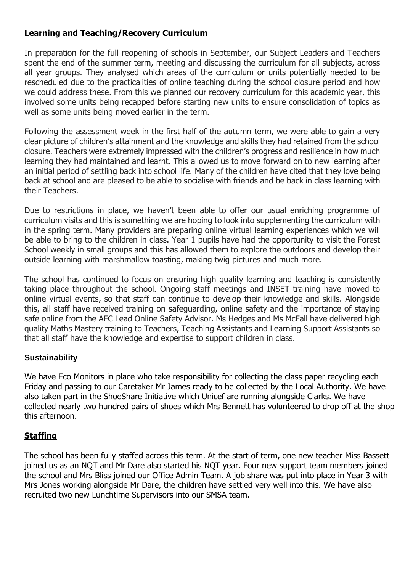## **Learning and Teaching/Recovery Curriculum**

In preparation for the full reopening of schools in September, our Subject Leaders and Teachers spent the end of the summer term, meeting and discussing the curriculum for all subjects, across all year groups. They analysed which areas of the curriculum or units potentially needed to be rescheduled due to the practicalities of online teaching during the school closure period and how we could address these. From this we planned our recovery curriculum for this academic year, this involved some units being recapped before starting new units to ensure consolidation of topics as well as some units being moved earlier in the term.

Following the assessment week in the first half of the autumn term, we were able to gain a very clear picture of children's attainment and the knowledge and skills they had retained from the school closure. Teachers were extremely impressed with the children's progress and resilience in how much learning they had maintained and learnt. This allowed us to move forward on to new learning after an initial period of settling back into school life. Many of the children have cited that they love being back at school and are pleased to be able to socialise with friends and be back in class learning with their Teachers.

Due to restrictions in place, we haven't been able to offer our usual enriching programme of curriculum visits and this is something we are hoping to look into supplementing the curriculum with in the spring term. Many providers are preparing online virtual learning experiences which we will be able to bring to the children in class. Year 1 pupils have had the opportunity to visit the Forest School weekly in small groups and this has allowed them to explore the outdoors and develop their outside learning with marshmallow toasting, making twig pictures and much more.

The school has continued to focus on ensuring high quality learning and teaching is consistently taking place throughout the school. Ongoing staff meetings and INSET training have moved to online virtual events, so that staff can continue to develop their knowledge and skills. Alongside this, all staff have received training on safeguarding, online safety and the importance of staying safe online from the AFC Lead Online Safety Advisor. Ms Hedges and Ms McFall have delivered high quality Maths Mastery training to Teachers, Teaching Assistants and Learning Support Assistants so that all staff have the knowledge and expertise to support children in class.

#### **Sustainability**

We have Eco Monitors in place who take responsibility for collecting the class paper recycling each Friday and passing to our Caretaker Mr James ready to be collected by the Local Authority. We have also taken part in the ShoeShare Initiative which Unicef are running alongside Clarks. We have collected nearly two hundred pairs of shoes which Mrs Bennett has volunteered to drop off at the shop this afternoon.

### **Staffing**

The school has been fully staffed across this term. At the start of term, one new teacher Miss Bassett joined us as an NQT and Mr Dare also started his NQT year. Four new support team members joined the school and Mrs Bliss joined our Office Admin Team. A job share was put into place in Year 3 with Mrs Jones working alongside Mr Dare, the children have settled very well into this. We have also recruited two new Lunchtime Supervisors into our SMSA team.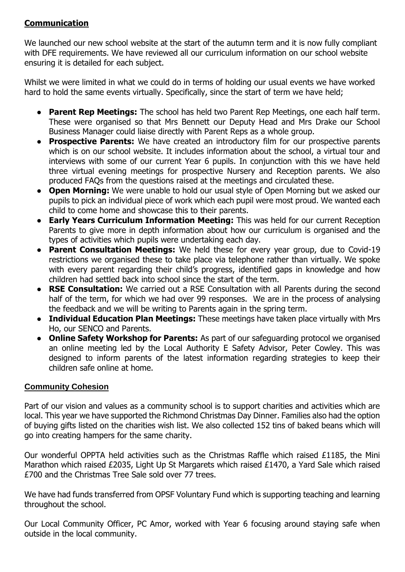# **Communication**

We launched our new school website at the start of the autumn term and it is now fully compliant with DFE requirements. We have reviewed all our curriculum information on our school website ensuring it is detailed for each subject.

Whilst we were limited in what we could do in terms of holding our usual events we have worked hard to hold the same events virtually. Specifically, since the start of term we have held;

- **Parent Rep Meetings:** The school has held two Parent Rep Meetings, one each half term. These were organised so that Mrs Bennett our Deputy Head and Mrs Drake our School Business Manager could liaise directly with Parent Reps as a whole group.
- **Prospective Parents:** We have created an introductory film for our prospective parents which is on our school website. It includes information about the school, a virtual tour and interviews with some of our current Year 6 pupils. In conjunction with this we have held three virtual evening meetings for prospective Nursery and Reception parents. We also produced FAQs from the questions raised at the meetings and circulated these.
- **Open Morning:** We were unable to hold our usual style of Open Morning but we asked our pupils to pick an individual piece of work which each pupil were most proud. We wanted each child to come home and showcase this to their parents.
- **Early Years Curriculum Information Meeting:** This was held for our current Reception Parents to give more in depth information about how our curriculum is organised and the types of activities which pupils were undertaking each day.
- **Parent Consultation Meetings:** We held these for every year group, due to Covid-19 restrictions we organised these to take place via telephone rather than virtually. We spoke with every parent regarding their child's progress, identified gaps in knowledge and how children had settled back into school since the start of the term.
- **RSE Consultation:** We carried out a RSE Consultation with all Parents during the second half of the term, for which we had over 99 responses. We are in the process of analysing the feedback and we will be writing to Parents again in the spring term.
- **Individual Education Plan Meetings:** These meetings have taken place virtually with Mrs Ho, our SENCO and Parents.
- **Online Safety Workshop for Parents:** As part of our safeguarding protocol we organised an online meeting led by the Local Authority E Safety Advisor, Peter Cowley. This was designed to inform parents of the latest information regarding strategies to keep their children safe online at home.

### **Community Cohesion**

Part of our vision and values as a community school is to support charities and activities which are local. This year we have supported the Richmond Christmas Day Dinner. Families also had the option of buying gifts listed on the charities wish list. We also collected 152 tins of baked beans which will go into creating hampers for the same charity.

Our wonderful OPPTA held activities such as the Christmas Raffle which raised £1185, the Mini Marathon which raised £2035, Light Up St Margarets which raised £1470, a Yard Sale which raised £700 and the Christmas Tree Sale sold over 77 trees.

We have had funds transferred from OPSF Voluntary Fund which is supporting teaching and learning throughout the school.

Our Local Community Officer, PC Amor, worked with Year 6 focusing around staying safe when outside in the local community.